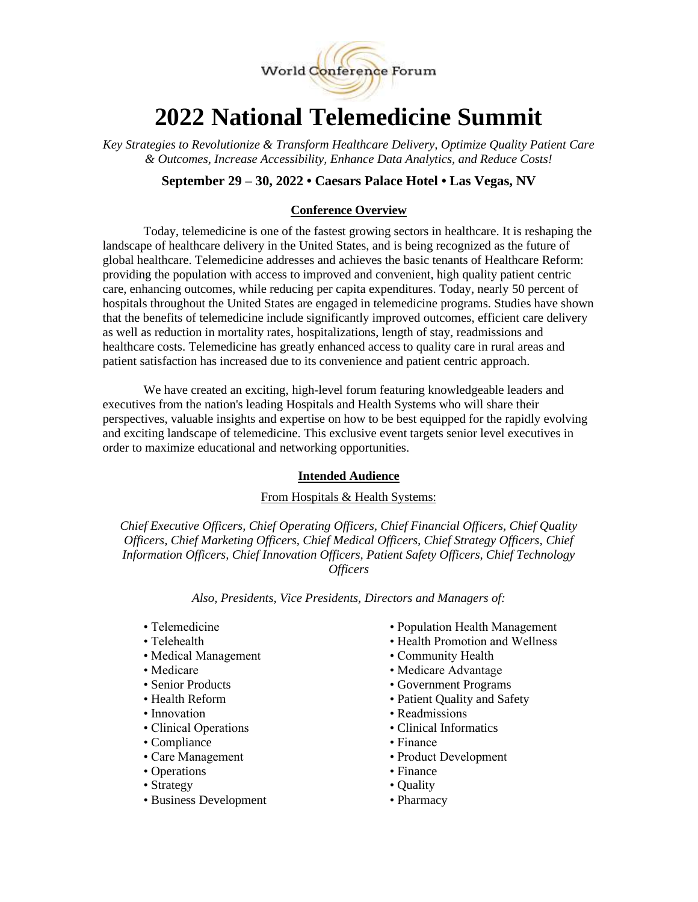

# **2022 National Telemedicine Summit**

*Key Strategies to Revolutionize & Transform Healthcare Delivery, Optimize Quality Patient Care & Outcomes, Increase Accessibility, Enhance Data Analytics, and Reduce Costs!*

# **September 29 – 30, 2022 • Caesars Palace Hotel • Las Vegas, NV**

## **Conference Overview**

Today, telemedicine is one of the fastest growing sectors in healthcare. It is reshaping the landscape of healthcare delivery in the United States, and is being recognized as the future of global healthcare. Telemedicine addresses and achieves the basic tenants of Healthcare Reform: providing the population with access to improved and convenient, high quality patient centric care, enhancing outcomes, while reducing per capita expenditures. Today, nearly 50 percent of hospitals throughout the United States are engaged in telemedicine programs. Studies have shown that the benefits of telemedicine include significantly improved outcomes, efficient care delivery as well as reduction in mortality rates, hospitalizations, length of stay, readmissions and healthcare costs. Telemedicine has greatly enhanced access to quality care in rural areas and patient satisfaction has increased due to its convenience and patient centric approach.

We have created an exciting, high-level forum featuring knowledgeable leaders and executives from the nation's leading Hospitals and Health Systems who will share their perspectives, valuable insights and expertise on how to be best equipped for the rapidly evolving and exciting landscape of telemedicine. This exclusive event targets senior level executives in order to maximize educational and networking opportunities.

#### **Intended Audience**

#### From Hospitals & Health Systems:

*Chief Executive Officers, Chief Operating Officers, Chief Financial Officers, Chief Quality Officers, Chief Marketing Officers, Chief Medical Officers, Chief Strategy Officers, Chief Information Officers, Chief Innovation Officers, Patient Safety Officers, Chief Technology Officers*

*Also, Presidents, Vice Presidents, Directors and Managers of:*

- 
- 
- Medical Management Community Health
- 
- 
- 
- Innovation Readmissions
- 
- Compliance Finance
- 
- Operations Finance
- 
- Business Development Pharmacy
- Telemedicine Population Health Management
- Telehealth Health Promotion and Wellness
	-
- Medicare Medicare Advantage
- Senior Products Government Programs
- Health Reform Patient Quality and Safety
	-
- Clinical Operations Clinical Informatics
	-
- Care Management Product Development
	-
- Strategy Quality
	-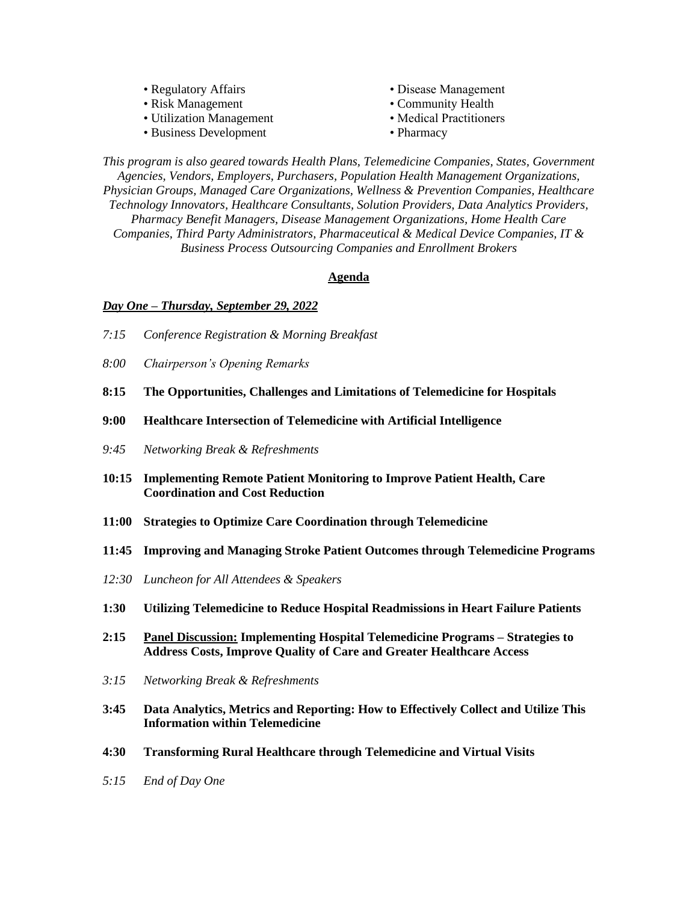| • Regulatory Affairs     | • Disease Management    |
|--------------------------|-------------------------|
| • Risk Management        | • Community Health      |
| • Utilization Management | • Medical Practitioners |
| • Business Development   | • Pharmacy              |

*This program is also geared towards Health Plans, Telemedicine Companies, States, Government Agencies, Vendors, Employers, Purchasers, Population Health Management Organizations, Physician Groups, Managed Care Organizations, Wellness & Prevention Companies, Healthcare Technology Innovators, Healthcare Consultants, Solution Providers, Data Analytics Providers, Pharmacy Benefit Managers, Disease Management Organizations, Home Health Care Companies, Third Party Administrators, Pharmaceutical & Medical Device Companies, IT & Business Process Outsourcing Companies and Enrollment Brokers*

#### **Agenda**

#### *Day One – Thursday, September 29, 2022*

- *7:15 Conference Registration & Morning Breakfast*
- *8:00 Chairperson's Opening Remarks*
- **8:15 The Opportunities, Challenges and Limitations of Telemedicine for Hospitals**
- **9:00 Healthcare Intersection of Telemedicine with Artificial Intelligence**
- *9:45 Networking Break & Refreshments*
- **10:15 Implementing Remote Patient Monitoring to Improve Patient Health, Care Coordination and Cost Reduction**
- **11:00 Strategies to Optimize Care Coordination through Telemedicine**
- **11:45 Improving and Managing Stroke Patient Outcomes through Telemedicine Programs**
- *12:30 Luncheon for All Attendees & Speakers*
- **1:30 Utilizing Telemedicine to Reduce Hospital Readmissions in Heart Failure Patients**
- **2:15 Panel Discussion: Implementing Hospital Telemedicine Programs – Strategies to Address Costs, Improve Quality of Care and Greater Healthcare Access**
- *3:15 Networking Break & Refreshments*
- **3:45 Data Analytics, Metrics and Reporting: How to Effectively Collect and Utilize This Information within Telemedicine**
- **4:30 Transforming Rural Healthcare through Telemedicine and Virtual Visits**
- *5:15 End of Day One*